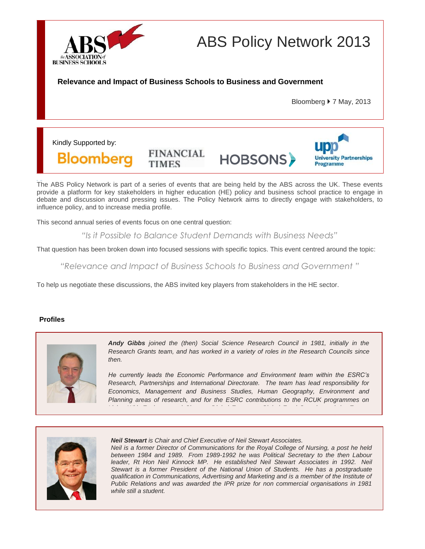

# ABS Policy Network 2013

**Relevance and Impact of Business Schools to Business and Government**

Bloomberg  $\triangleright$  7 May, 2013

Kindly Supported by:

**Bloomberg** 

**FINANCIAL TIMES** 

HOBSONS>



The ABS Policy Network is part of a series of events that are being held by the ABS across the UK. These events provide a platform for key stakeholders in higher education (HE) policy and business school practice to engage in debate and discussion around pressing issues. The Policy Network aims to directly engage with stakeholders, to influence policy, and to increase media profile.

This second annual series of events focus on one central question:

*programme*

*"Is it Possible to Balance Student Demands with Business Needs"*

That question has been broken down into focused sessions with specific topics. This event centred around the topic:

*"Relevance and Impact of Business Schools to Business and Government "*

To help us negotiate these discussions, the ABS invited key players from stakeholders in the HE sector.

## **Profiles**



*Andy Gibbs joined the (then) Social Science Research Council in 1981, initially in the Research Grants team, and has worked in a variety of roles in the Research Councils since then.* 

*He currently leads the Economic Performance and Environment team within the ESRC's Research, Partnerships and International Directorate. The team has lead responsibility for Economics, Management and Business Studies, Human Geography, Environment and Planning areas of research, and for the ESRC contributions to the RCUK programmes on* 

*Living With Environmental Change, Digital Economy, Global Food Security and the Energy* 



*Neil Stewart is Chair and Chief Executive of Neil Stewart Associates.*

*Neil is a former Director of Communications for the Royal College of Nursing, a post he held between 1984 and 1989. From 1989-1992 he was Political Secretary to the then Labour leader, Rt Hon Neil Kinnock MP. He established Neil Stewart Associates in 1992. Neil Stewart is a former President of the National Union of Students. He has a postgraduate qualification in Communications, Advertising and Marketing and is a member of the Institute of Public Relations and was awarded the IPR prize for non commercial organisations in 1981 while still a student.*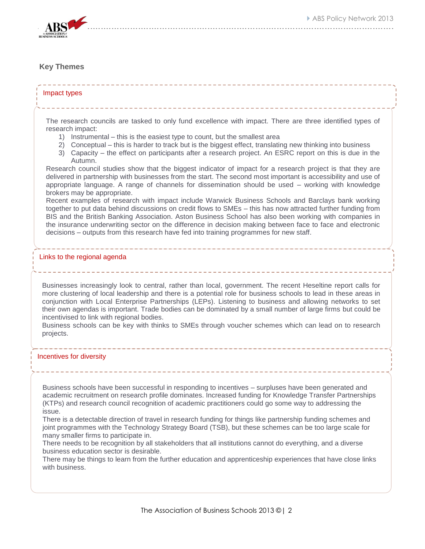

# **Key Themes**

#### Impact types

The research councils are tasked to only fund excellence with impact. There are three identified types of research impact:

- 1) Instrumental this is the easiest type to count, but the smallest area
- 2) Conceptual this is harder to track but is the biggest effect, translating new thinking into business
- 3) Capacity the effect on participants after a research project. An ESRC report on this is due in the Autumn.

Research council studies show that the biggest indicator of impact for a research project is that they are delivered in partnership with businesses from the start. The second most important is accessibility and use of appropriate language. A range of channels for dissemination should be used – working with knowledge brokers may be appropriate.

Recent examples of research with impact include Warwick Business Schools and Barclays bank working together to put data behind discussions on credit flows to SMEs – this has now attracted further funding from BIS and the British Banking Association. Aston Business School has also been working with companies in the insurance underwriting sector on the difference in decision making between face to face and electronic decisions – outputs from this research have fed into training programmes for new staff.

#### Links to the regional agenda

Businesses increasingly look to central, rather than local, government. The recent Heseltine report calls for more clustering of local leadership and there is a potential role for business schools to lead in these areas in conjunction with Local Enterprise Partnerships (LEPs). Listening to business and allowing networks to set their own agendas is important. Trade bodies can be dominated by a small number of large firms but could be incentivised to link with regional bodies.

Business schools can be key with thinks to SMEs through voucher schemes which can lead on to research projects.

#### Incentives for diversity

Business schools have been successful in responding to incentives – surpluses have been generated and academic recruitment on research profile dominates. Increased funding for Knowledge Transfer Partnerships (KTPs) and research council recognition of academic practitioners could go some way to addressing the issue.

There is a detectable direction of travel in research funding for things like partnership funding schemes and joint programmes with the Technology Strategy Board (TSB), but these schemes can be too large scale for many smaller firms to participate in.

There needs to be recognition by all stakeholders that all institutions cannot do everything, and a diverse business education sector is desirable.

There may be things to learn from the further education and apprenticeship experiences that have close links with business.